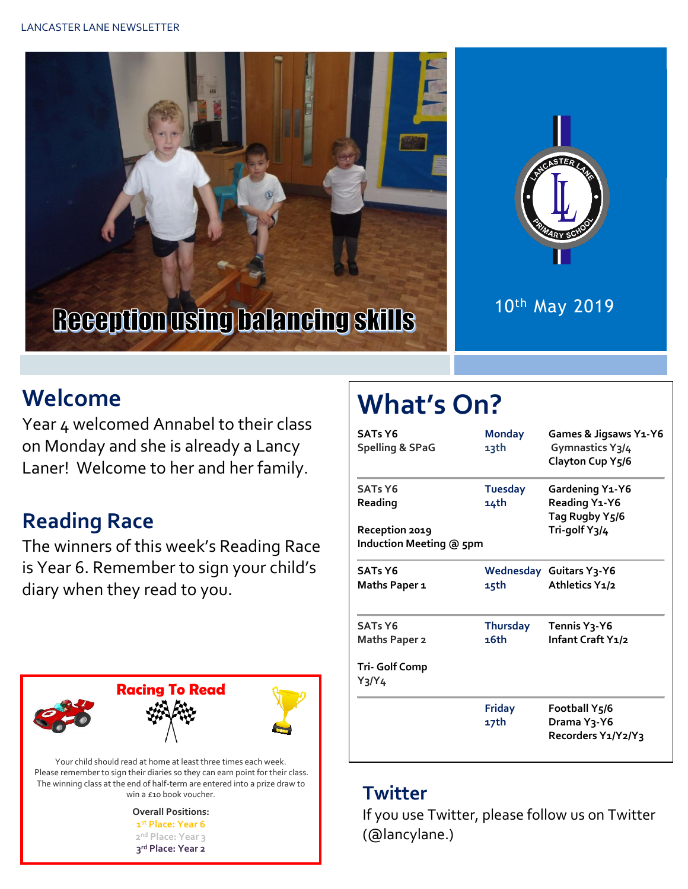



#### 10th May 2019

### **Welcome**

Year 4 welcomed Annabel to their class on Monday and she is already a Lancy Laner! Welcome to her and her family.

#### **Reading Race**

The winners of this week's Reading Race is Year 6. Remember to sign your child's diary when they read to you.



Your child should read at home at least three times each week. Please remember to sign their diaries so they can earn point for their class. The winning class at the end of half-term are entered into a prize draw to win a £10 book voucher.

> **Overall Positions: st Place: Year 6 nd Place: Year 3 rd Place: Year 2**

# **What's On?**

| <b>SATs Y6</b><br><b>Spelling &amp; SPaG</b>                           | <b>Monday</b><br>13th   | Games & Jigsaws Y1-Y6<br>Gymnastics Y3/4<br>Clayton Cup Y5/6        |
|------------------------------------------------------------------------|-------------------------|---------------------------------------------------------------------|
| <b>SATs Y6</b><br>Reading<br>Reception 2019<br>Induction Meeting @ 5pm | <b>Tuesday</b><br>14th  | Gardening Y1-Y6<br>Reading Y1-Y6<br>Tag Rugby Y5/6<br>Tri-golf Y3/4 |
| <b>SATs Y6</b><br>Maths Paper 1                                        | 15th                    | <b>Wednesday Guitars Y3-Y6</b><br>Athletics Y1/2                    |
| <b>SATs Y6</b><br>Maths Paper 2<br><b>Tri-Golf Comp</b><br>Y3/Y4       | <b>Thursday</b><br>16th | Tennis Y <sub>3</sub> -Y6<br>Infant Craft Y1/2                      |
|                                                                        | Friday<br>17th          | Football Y5/6<br>Drama Y3-Y6<br>Recorders Y1/Y2/Y3                  |

#### **Twitter**

If you use Twitter, please follow us on Twitter (@lancylane.)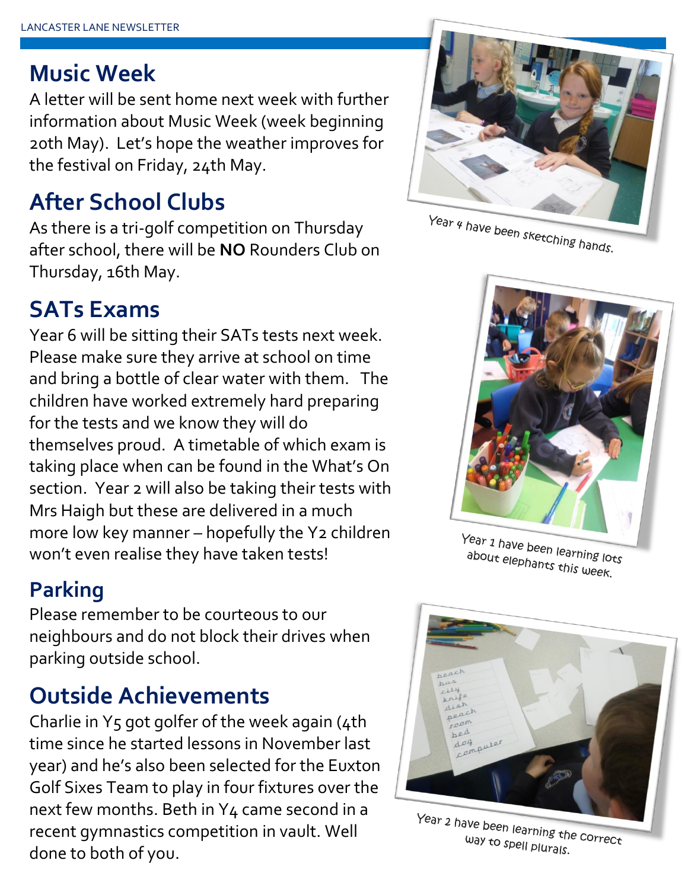### **Music Week**

A letter will be sent home next week with further information about Music Week (week beginning 20th May). Let's hope the weather improves for the festival on Friday, 24th May.

## **After School Clubs**

As there is a tri-golf competition on Thursday after school, there will be **NO** Rounders Club on Thursday, 16th May.

## **SATs Exams**

Year 6 will be sitting their SATs tests next week. Please make sure they arrive at school on time and bring a bottle of clear water with them. The children have worked extremely hard preparing for the tests and we know they will do themselves proud. A timetable of which exam is taking place when can be found in the What's On section. Year 2 will also be taking their tests with Mrs Haigh but these are delivered in a much more low key manner – hopefully the Y2 children won't even realise they have taken tests!

### **Parking**

Please remember to be courteous to our neighbours and do not block their drives when parking outside school.

## **Outside Achievements**

Charlie in Y5 got golfer of the week again (4th time since he started lessons in November last year) and he's also been selected for the Euxton Golf Sixes Team to play in four fixtures over the next few months. Beth in Y4 came second in a recent gymnastics competition in vault. Well done to both of you.



Year 4 have been sketching hands.



Year 1 have been learning lots about elephants this week.